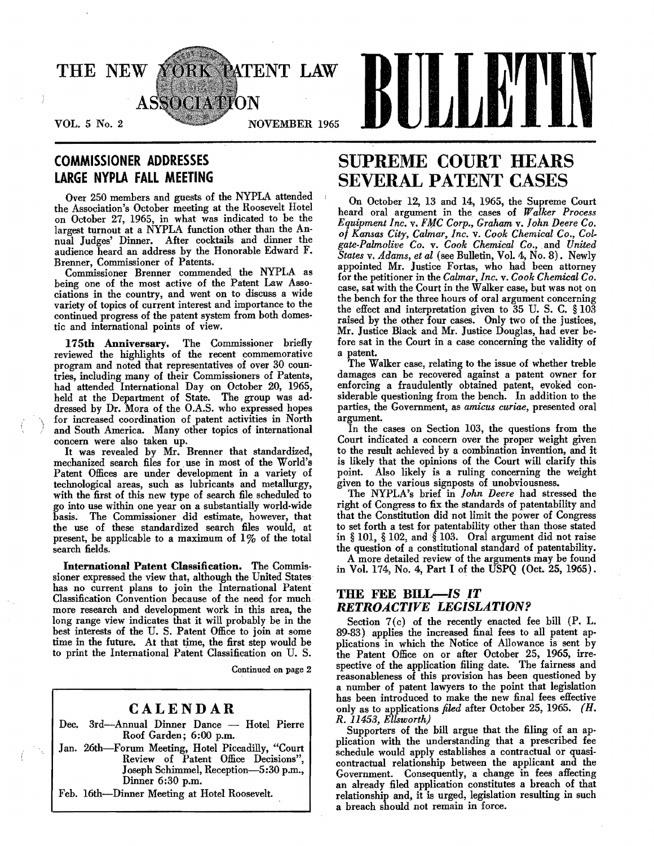

## COMMISSIONER ADDRESSES LARGE NYPLA FALL MEETING

Over 250 members and guests of the NYPLA attended the Association's October meeting at the Roosevelt Hotel on October 27, 1965, in what was indicated to be the largest turnout at a NYPLA function other than the Annual Judges' Dinner. After cocktails and dinner the audience heard an address by the Honorable Edward F. Brenner, Commissioner of Patents.

Commissioner Brenner commended the NYPLA as being one of the most active of the Patent Law Associations in the country, and went on to discuss a wide variety of topics of current interest and importance to the continued progress of the patent system from both domestic and international points of view.

175th Anniversary. The Commissioner briefly reviewed the highlights of the recent commemorative program. and noted that representatives of over 30 coun· tries, including many of their Commissioners of Patents, had attended International Day on October 20, 1965, held at the Department of State. The group was ad· dressed by Dr. Mora of the O.A.S. who expressed hopes for increased coordination of patent activities in North and South America. Many other topics of international concern were also taken up.

It was revealed by Mr. Brenner that standardized, mechanized search files for use in most of the World's Patent Offices are under development in a variety of technological areas, such as lubricants and metallurgy, with the first of this new type of search file scheduled to go into use within one year on a substantially world-wide basis. The Commissioner did estimate, however, that the use of these standardized search files would, at present, be applicable to a maximum of  $1\%$  of the total search fields.

International Patent Classification. The Commissioner expressed the view that, although the United States has no current plans to join the International Patent Classification Convention because of the need for much more research and development work in this area, the long range view indicates that it will probably be in the best interests of the U. S. Patent Office to join at some time in the future. At that time, the first step would be to print the International Patent Classification on U. S.

Continued on page 2

## CALENDAR

- Dec. 3rd-Annual Dinner Dance Hotel Pierre Roof Garden; 6:00 p.m.
- Jan. 26th-Forum Meeting, Hotel Piccadilly, "Court Review of Patent Office Decisions", Joseph Schimmel, Reception-5:30 p.m., Dinner 6:30 p.m.
- Feb. 16th-Dinner Meeting at Hotel Roosevelt.

# SUPREME COURT HEARS SEVERAL PATENT CASES

On October 12, 13 and 14, 1965, the Supreme Court heard oral argument in the cases of *Walker Process Equipment Inc. v. FMC Corp., Graham v. John Deere Co. of Kansas City, Calmar, Inc.* v. *Cook Chemical Co., Colgate·Palmolive Co.* v. *Cook Chemical Co.,* .and *United States* v. *Adams, et al* (see Bulletin, Vol. 4, No.8). Newly appointed Mr. Justice Fortas, who had been attorney for the petitioner in the *Calmar, Inc.* v. *Cook Chemical Co.*  case, sat with the Court in the Walker case, but was not on the bench for the three hours of oral argument concerning the effect and interpretation given to 35 U. S. C. § 103 raised by the other four cases. Only two of the justices, Mr. Justice Black and Mr. Justice Douglas, had ever before sat in the Court in a case concerning the validity of a patent.

The Walker case, relating to the issue of whether treble damages can be recovered against a patent owner for enforcing a fraudulently obtained patent, evoked considerable questioning from the bench. In addition to the parties, the Government, as *amicus curiae,* presented oral argument.

In the cases on Section 103, the questions from the Court indicated a concern over the proper weight given to the result achieved by a combination invention, and it is likely that the opinions of the Court will clarify this point. Also likely is a ruling concerning the weight given to the various signposts of unobviousness.

The NYPLA's brief in *fohn Deere* had stressed the right of Congress to fix. the standards of patentability and that the Constitution did not limit the power of Congress to set forth a test for patentability other than those stated in § 101, § 102, and § 103. Oral argument did not raise the question of a constitutional standard of patentability.

A more detailed review of the arguments may be found in Vol. 174, No. 4, Part I of the USPQ (Oct. 25, 1965).

## THE FEE BILL-IS IT *RETROACTIVE LEGISLA.TION?*

Section 7(c) of the recently enacted fee bill (P. L. 89-83) applies the increased final fees to all patent applications in which the Notice of Allowance is sent by the Patent Office on or after October 25, 1965, irrespective of the application filing date. The fairness and reasonableness of this provision has been questioned by a number of patent lawyers to the point that legislation has been introduced to make the new final fees effective only as to applications *filed* after October 25, 1965. *(H. R.* 11453, *Ellsworth)* 

Supporters of the bill argue that the filing of an application with the understanding that a prescribed fee schedule would apply establishes a contractual or quasicontractual relationship between the applicant and the Government. Consequently, a change in fees affecting an already filed application constitutes a breach of that relationship and, it is urged, legislation resulting in such a breach should not remain in force.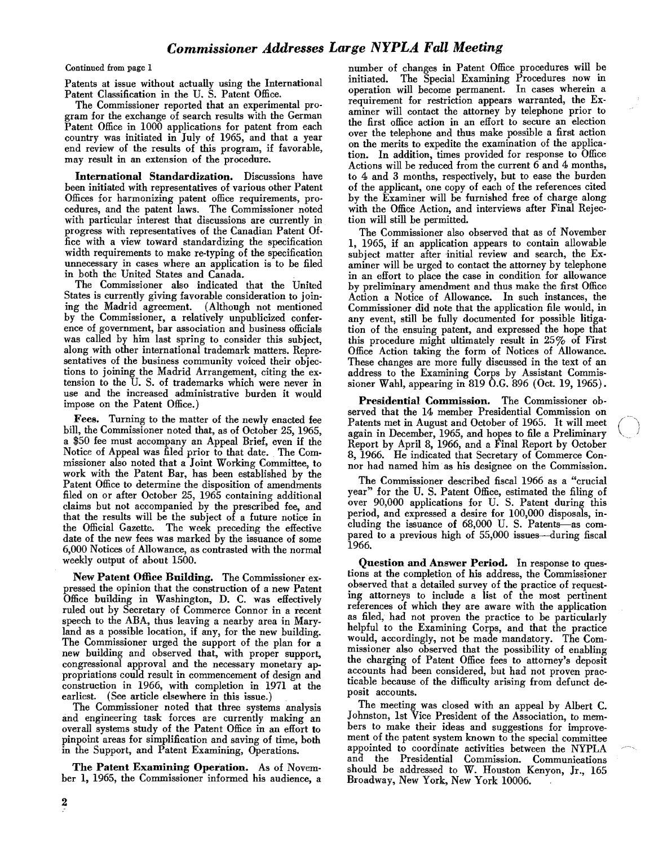Continued from page 1

Patents at issue without actually using the International Patent Classification in the U. S. Patent Office.

The Commissioner reported that an experimental program for the exchange of search results with the German Patent Office in 1000 applications for patent from each country was initiated in July of 1965, and that a year end review of the results of this program, if favorable, may result in an extension of the procedure.

International Standardization. Discussions have been initiated with representatives of various other Patent Offices for harmonizing patent office requirements, pro· cedures, and the patent laws. The Commissioner noted with particular interest that discussions are currently in progress with representatives of the Canadian Patent Office with a view toward standardizing the specification width requirements to make re-typing of the specification unnecessary in cases where an application is to be filed in both the United States and Canada.

The Commissioner also indicated that the United States is currently giving favorable consideration to join· ing the Madrid agreement. (Although not mentioned by the Commissioner, a relatively unpublicized conference of government, bar association and business officials was called by him last spring to consider this subject, along with other international trademark matters. Representatives of the business community voiced their objections to joining the Madrid Arrangement, citing the extension to the U. S. of trademarks which were never in use and the increased administrative burden it would impose on the Patent Office.)

Fees. Turning to the matter of the newly enacted fee bill, the Commissioner noted that, as of October 25, 1965, a \$50 fee must accompany an Appeal Brief, even if the Notice of Appeal was filed prior to that date. The Commissioner also noted that a Joint Working Committee, to work with the Patent Bar, has been established by the Patent Office to determine the disposition of amendments filed on or after October 25, 1965 containing additional claims but not accompanied by the prescribed fee, and that the results will be the subject of a future notice in the Official Gazette. The week preceding the effective date of the new fees was marked by the issuance of some 6,000 Notices of Allowance, as contrasted with the normal weekly output of about 1500.

New Patent Office Building. The Commissioner expressed the opinion that the construction of a new Patent Office building in Washington, D. C. was effectively ruled out by Secretary of Commerce Connor in a recent speech to the ABA, thus leaving a nearby area in Maryland as a possible location, if any, for the new building. The Commissioner urged the support of the plan for a new building and observed that, with proper support, congressional approval and the necessary monetary appropriations could result in commencement of design and construction in 1966, with completion in 1971 at the earliest. (See article elsewhere in this issue.)

The Commissioner noted that three systems analysis and engineering task forces are currently making an overall systems study of the Patent Office in an effort to pinpoint areas for simplification and saving of time, both in the Support, and Patent Examining, Operations.

The Patent Examining Operation. As of November 1, 1965, the Commissioner informed his audience, a number of changes in Patent Office procedures will be initiated. The Special Examining Procedures now in operation will become permanent. In cases wherein a requirement for restriction appears warranted, the Examiner will contact the attorney by telephone prior to the first office action in an effort to secure an election over the telephone and thus make possible a first action on the merits to expedite the examination of the application. In addition, times provided for response to Office Actions will be reduced from the current 6 and 4 months, to 4 and 3 months, respectively, but to ease the burden of the applicant, one copy of each of the references cited by the Examiner will be furnished free of charge along with the Office Action, and interviews after Final Rejection will still be permitted.

The Commissioner also observed that as of November 1, 1965, if an application appears to contain allowable subject matter after initial review and search, the Examiner will be urged to contact the attorney by telephone in an effort to place the case in condition for allowance by preliminary amendment and thus make the first Office Action a Notice of Allowance. In such instances, the Commissioner did note that the application file would, in any event, still be fully documented for possible litigation of the ensuing patent, and expressed the hope that this procedure might ultimately result in 25% of First Office Action taking the form of Notices of Allowance. These changes are more fully discussed in the text of an address to the Examining Corps by Assistant Commissioner Wahl, appearing in 819 O.G. 896 (Oct. 19, 1965).

Presidential Commission. The Commissioner ob· served that the 14 member Presidential Commission on Patents met in August and October of 1965. It will meet again in December, 1965, and hopes to file a Preliminary Report by April 8, 1966, and a Final Report by October 8, 1966. He indicated that Secretary of Commerce Connor had named him· as his designee on the Commission.

The Commissioner described fiscal 1966 as a "crucial year" for the U. S. Patent Office, estimated the filing of over 90,000 applications for U. S. Patent during this period, and expressed a desire for 100,000 disposals, including the issuance of 68,000 U.S. Patents-as compared to a previous high of 55,000 issues-during fiscal 1966.

Question and Answer Period. In response to questions at the completion of his address, the Commissioner observed that a detailed survey of the practice of request· ing attorneys to include a list of the most pertinent references of which they are aware with the application as filed, had not proven the practice to be particularly helpful to the Examining Corps, and that the practice would, accordingly, not be made mandatory. The Com· missioner also observed that the possibility of enabling the charging of Patent Office fees to attorney's deposit accounts had been considered, but had not proven practicable because of the difficulty arising from defunct deposit accounts.

The meeting was closed with an appeal by Albert C. Johnston, 1st Vice President of the Association, to members to make their ideas and suggestions for improvement of the patent system known to the special committee appointed to coordinate activities between the NYPLA and the Presidential Commission. Communications should be addressed to W. Houston Kenyon, Jr., 165 Broadway, New York, New York 10006. '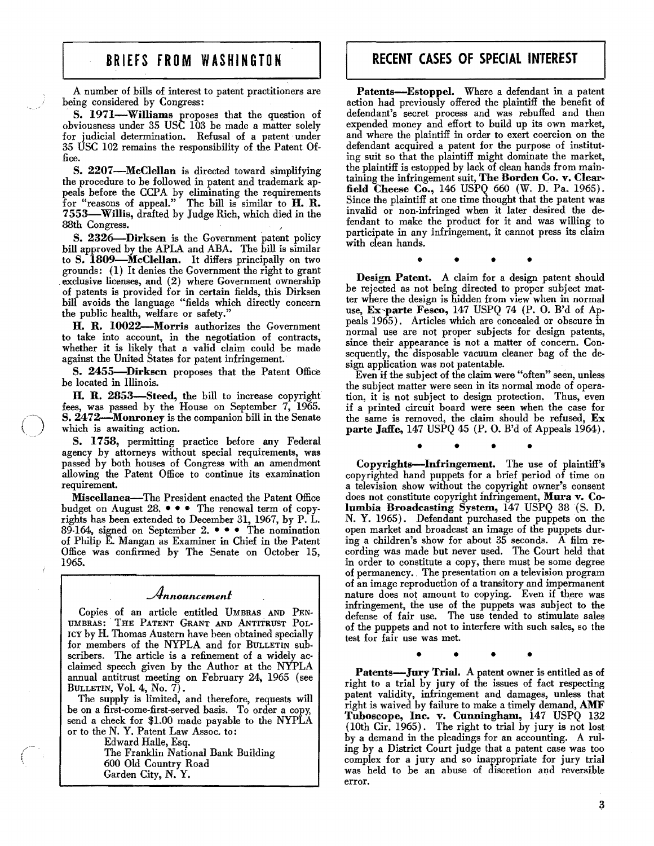A number of bills of interest to patent practitioners are being considered by Congress:

S. 1971-Williams proposes that the question of obviousness under 35 USC 103 be made a matter solely for judicial determination. Refusal of a patent uuder 35 USC 102 remains the responsibility of the Patent Office.

S. 2207-McClellan is directed toward simplifying the procedure to be followed in patent and trademark appeals before the CCPA by eliminating the requirements for "reasons of appeal." The bill is similar to  $H. R.$ 7553-Willis, drafted by Judge Rich, which died in the 88th Congress.

S. 2326-Dirksen is the Government patent policy bill approved by the APLA and ABA. The bill is similar to S. 1809-McClellan. It differs principally on two grounds: (1) It denies the Government the right to grant . exclusive licenses, and (2) where Government ownership of patents is provided for in certain fields, this Dirksen bill avoids the language "fields which directly concern the public health, welfare or safety."

B. R. 10022-Morris authorizes the Government to take into account, in the negotiation of contracts, whether it is likely that a valid claim could be made against the United States for patent infringement.

S. 2455-Dirksen proposes that the Patent Office be located in Illinois.

H. R. 2853-Steed, the bill to increase copyright fees, was passed by the House on September 7, 1965. S. 2472-Monroney is the companion bill in the Senate which is awaiting action.

S. 1758, permitting practice before any Federal agency by attorneys without special requirements, was passed by both houses of Congress with an amendment allowing the Patent Office to continue its examination requirement.

Miscellanea-The President enacted the Patent Office budget on August 28.  $\bullet \bullet \bullet$  The renewal term of copyrights has been extended to December 31, 1967, by P. L. 89-164, signed on September 2.  $\bullet \bullet \bullet$  The nomination of Philip E. Mangan as Examiner in Chief in the Patent Office was confirmed by The Senate on October 15, 1965.

## *Announcement*

Copies of an article entitled UMBRAS AND PEN-UMBRAS: THE PATENT GRANT AND ANTITRUST POL-ICY by H. Thomas Austern have been obtained specially for members of the NYPLA and for BULLETIN sub· scribers. The article is a refinement of a widely acclaimed speech given by the Author at the NYPLA annual antitrust meeting on February 24, 1965 (see BULLETIN, Vol. 4, No. 7).

The supply is limited, and therefore, requests will be on a first-come-first-served basis. To order a copy, send a check for \$1.00 made payable to the NYPLA or to the N. Y. Patent Law Assoc. to:

> Edward Halle, Esq. The Franklin National Bank Building 600 Old Country Road Garden City, N. Y.

## **RECENT CASES OF SPECIAL INTEREST**

Patents-Estoppel. Where a defendant in a patent action had previously offered the plaintiff the benefit of defendant's secret process and was rebuffed and then expended money and effort to build up its own market, and where the plaintiff in order to exert coercion on the defendant acquired a patent for the purpose of instituting suit so that the plaintiff might dominate the market, the plaintiff is estopped by lack of clean hands from maintaining the infringement suit, The Borden Co. v. Clearfield Cheese Co., 146 USPQ 660 (W. D. Pa. 1965). Since the plaintiff at one time thought that the patent was invalid or non-infringed when it later desired the defendant to make the product for it and was willing to participate in any infringement, it cannot press its claim with clean hands.

• • • •

Design Patent. A claim for a design patent should be rejected as not being directed to proper subject matter where the design is hidden from view when in normal use, Ex-parte Fesco, 147 USPQ 74 (P. O. B'd of Appeals 1965). Articles which are concealed or obscure in normal use are not proper subjects for design patents, since their appearance is not a matter of concern. Consequently, the disposable vacuum cleaner bag of the design application was not patentable.

Even if the subject of the claim were "often" seen, unless the subject matter were seen in its normal mode of operation, it is not subject to design protection. Thus, even if a printed circuit board were seen when the case for the same is removed, the claim should be refused, Ex parte Jaffe, 147 USPQ 45 (P. O. B'd of Appeals 1964).

• • • •

Copyrights-Infringement. The use of plaintiff's copyrighted hand puppets for a brief period of time on a television show without the copyright owner's consent does not constitute copyright infringement, Mura v. Columbia Broadcasting System, 147 USPQ 38(5. D. N. Y. 1965). Defendant purchased the puppets on the open market and broadcast an image of the puppets during a children's show for about  $35$  seconds. A film recording was made but never used. The Court held that in order to constitute a copy, there must be some degree of permanency •. The presentation on a television program of an image reproduction of a transitory and impermanent nature does not amount to copying. Even if there was infringement, the use of the puppets was subject to the defense of fair use. The use tended to stimulate sales of the puppets and not to interfere with such sales, so the test for fair use was met.

• • • •

Patents-Jury Trial. A patent owner is entitled as of right to a trial by jury of the issues of fact respecting patent validity, infringement and damages, unless that right is waived by failure to make a timely demand, AMF Tuboscope, Inc. v. Cunningham, 147 USPQ 132 (10th Cir. 1965). The right to trial by jury is not lost by a demand in the pleadings for an accounting. A ruling by a District Court judge that a patent case was too complex for a jury and so inappropriate for jury trial was held to be an abuse of discretion and reversible error.